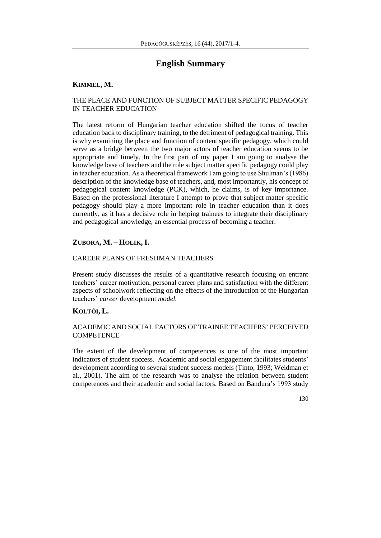# **English Summary**

# **KIMMEL, M.**

#### THE PLACE AND FUNCTION OF SUBJECT MATTER SPECIFIC PEDAGOGY IN TEACHER EDUCATION

The latest reform of Hungarian teacher education shifted the focus of teacher education back to disciplinary training, to the detriment of pedagogical training. This is why examining the place and function of content specific pedagogy, which could serve as a bridge between the two major actors of teacher education seems to be appropriate and timely. In the first part of my paper I am going to analyse the knowledge base of teachers and the role subject matter specific pedagogy could play in teacher education. As a theoretical framework I am going to use Shulman's (1986) description of the knowledge base of teachers, and, most importantly, his concept of pedagogical content knowledge (PCK), which, he claims, is of key importance. Based on the professional literature I attempt to prove that subject matter specific pedagogy should play a more important role in teacher education than it does currently, as it has a decisive role in helping trainees to integrate their disciplinary and pedagogical knowledge, an essential process of becoming a teacher.

# **ZUBORA, M. – HOLIK, I.**

#### CAREER PLANS OF FRESHMAN TEACHERS

Present study discusses the results of a quantitative research focusing on entrant teachers' career motivation, personal career plans and satisfaction with the different aspects of schoolwork reflecting on the effects of the introduction of the Hungarian teachers' *career* development *model.*

# **KOLTÓI, L.**

## ACADEMIC AND SOCIAL FACTORS OF TRAINEE TEACHERS' PERCEIVED **COMPETENCE**

The extent of the development of competences is one of the most important indicators of student success. Academic and social engagement facilitates students' development according to several student success models (Tinto, 1993; Weidman et al., 2001). The aim of the research was to analyse the relation between student competences and their academic and social factors. Based on Bandura's 1993 study

130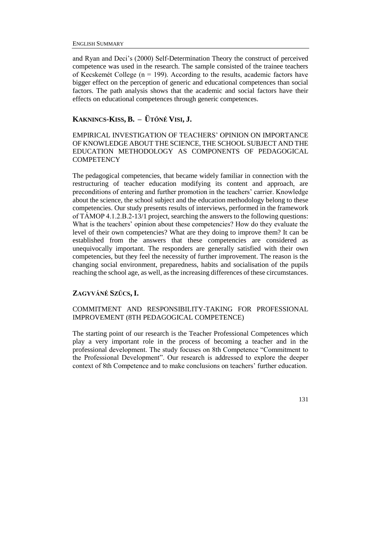and Ryan and Deci's (2000) Self-Determination Theory the construct of perceived competence was used in the research. The sample consisted of the trainee teachers of Kecskemét College ( $n = 199$ ). According to the results, academic factors have bigger effect on the perception of generic and educational competences than social factors. The path analysis shows that the academic and social factors have their effects on educational competences through generic competences.

## **KAKNINCS-KISS, B. – ÜTŐNÉ VISI, J.**

EMPIRICAL INVESTIGATION OF TEACHERS' OPINION ON IMPORTANCE OF KNOWLEDGE ABOUT THE SCIENCE, THE SCHOOL SUBJECT AND THE EDUCATION METHODOLOGY AS COMPONENTS OF PEDAGOGICAL **COMPETENCY** 

The pedagogical competencies, that became widely familiar in connection with the restructuring of teacher education modifying its content and approach, are preconditions of entering and further promotion in the teachers' carrier. Knowledge about the science, the school subject and the education methodology belong to these competencies. Our study presents results of interviews, performed in the framework of TÁMOP 4.1.2.B.2-13/1 project, searching the answers to the following questions: What is the teachers' opinion about these competencies? How do they evaluate the level of their own competencies? What are they doing to improve them? It can be established from the answers that these competencies are considered as unequivocally important. The responders are generally satisfied with their own competencies, but they feel the necessity of further improvement. The reason is the changing social environment, preparedness, habits and socialisation of the pupils reaching the school age, as well, as the increasing differences of these circumstances.

#### **ZAGYVÁNÉ SZŰCS, I.**

#### COMMITMENT AND RESPONSIBILITY-TAKING FOR PROFESSIONAL IMPROVEMENT (8TH PEDAGOGICAL COMPETENCE)

The starting point of our research is the Teacher Professional Competences which play a very important role in the process of becoming a teacher and in the professional development. The study focuses on 8th Competence "Commitment to the Professional Development". Our research is addressed to explore the deeper context of 8th Competence and to make conclusions on teachers' further education.